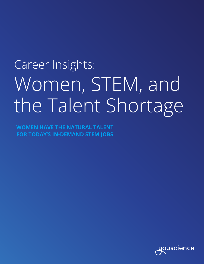## Career Insights: Women, STEM, and the Talent Shortage

**WOMEN HAVE THE NATURAL TALENT FOR TODAY'S IN-DEMAND STEM JOBS**

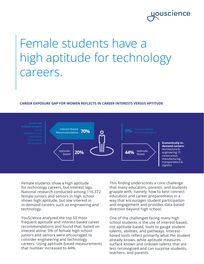### **JOUSCIENCE**

## Female students have a high aptitude for technology careers.

### **CAREER EXPOSURE GAP FOR WOMEN REFLECTS IN CAREER INTERESTS VERSUS APTITUDE**



Female students show a high aptitude for technology careers, but interest lags. National research conducted among 116,372 female juniors and seniors in high school shows high aptitude, but low interest in in-demand careers such as engineering and technology.

YouScience analyzed the top 50 most frequent aptitude and interest-based career recommendations and found that, based on interest alone, 0% of female high school juniors and seniors were encouraged to consider engineering and technology careers. Using aptitude-based measurements that number increased to 44%.

This finding underscores a core challenge that many educators, parents, and students grapple with, namely, how to best connect education and career preparedness in a way that encourages student participation and engagement and provides data-based direction beyond high school.

One of the challenges facing many high school students is the use of interest-based, not aptitude-based, tools to gauge student talents, abilities, and pathways. Interestbased tools reflect primarily what the student already knows, while aptitude measures surface known and unkown talents that are less reconogized and can surprise students, teachers, and parents.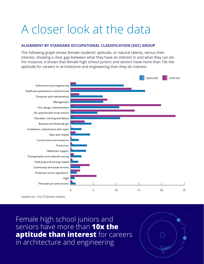## A closer look at the data

### **ALIGNMENT BY STANDARD OCCUPATIONAL CLASSIFICATION (SOC) GROUP**

The following graph shows female students' aptitude, or natural talents, versus their interest, showing a clear gap between what they have an interest in and what they can do. For instance, it shows that female high school juniors and seniors have more than 10x the aptitude for careers in architecture and engineering than they do interest.



*Sample size: 116,372 female students*

Female high school juniors and seniors have more than **10x the aptitude than interest** for careers in architecture and engineering